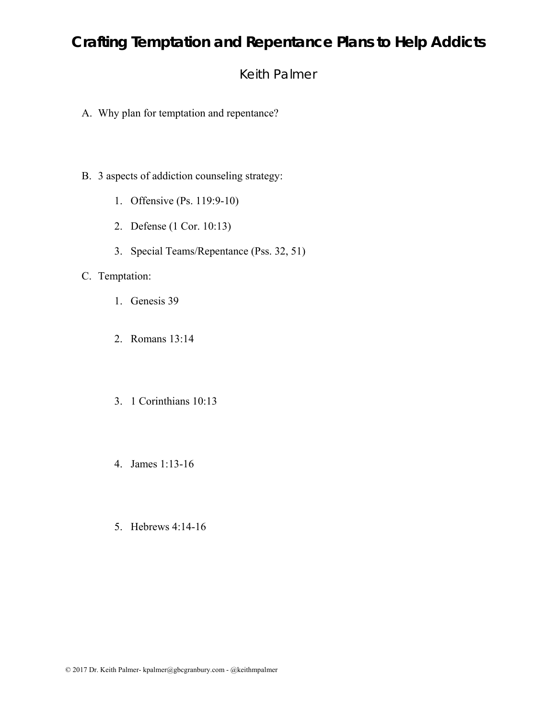## Keith Palmer

- A. Why plan for temptation and repentance?
- B. 3 aspects of addiction counseling strategy:
	- 1. Offensive (Ps. 119:9-10)
	- 2. Defense (1 Cor. 10:13)
	- 3. Special Teams/Repentance (Pss. 32, 51)

#### C. Temptation:

- 1. Genesis 39
- 2. Romans 13:14
- 3. 1 Corinthians 10:13
- 4. James 1:13-16
- 5. Hebrews 4:14-16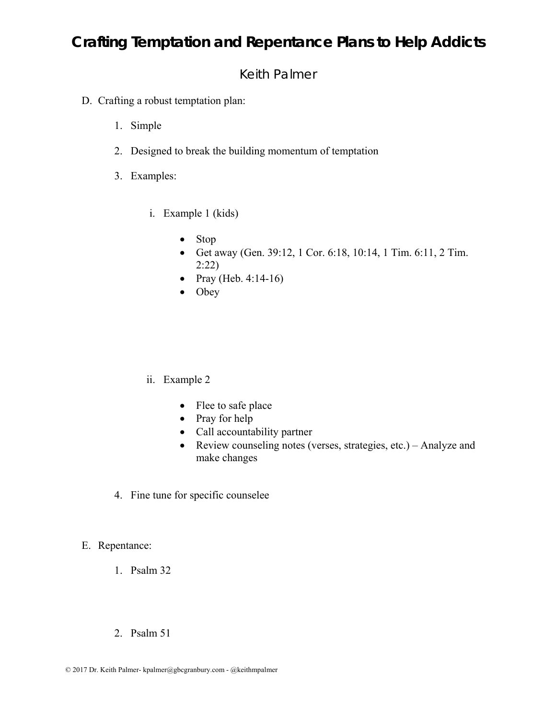## Keith Palmer

- D. Crafting a robust temptation plan:
	- 1. Simple
	- 2. Designed to break the building momentum of temptation
	- 3. Examples:
		- i. Example 1 (kids)
			- Stop
			- Get away (Gen. 39:12, 1 Cor. 6:18, 10:14, 1 Tim. 6:11, 2 Tim. 2:22)
			- Pray (Heb.  $4:14-16$ )
			- Obey

#### ii. Example 2

- Flee to safe place
- Pray for help
- Call accountability partner
- Review counseling notes (verses, strategies, etc.) Analyze and make changes
- 4. Fine tune for specific counselee

#### E. Repentance:

- 1. Psalm 32
- 2. Psalm 51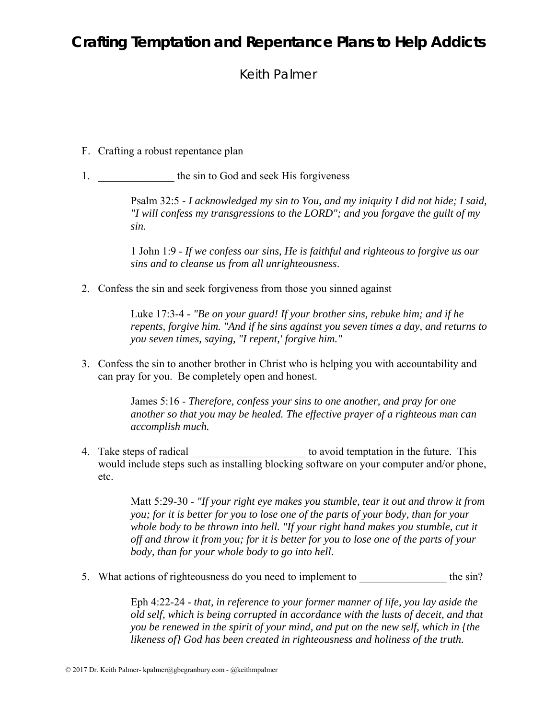Keith Palmer

- F. Crafting a robust repentance plan
- 1. **the sin to God and seek His forgiveness**

Psalm 32:5 - *I acknowledged my sin to You, and my iniquity I did not hide; I said, "I will confess my transgressions to the LORD"; and you forgave the guilt of my sin.*

1 John 1:9 - *If we confess our sins, He is faithful and righteous to forgive us our sins and to cleanse us from all unrighteousness*.

2. Confess the sin and seek forgiveness from those you sinned against

Luke 17:3-4 - *"Be on your guard! If your brother sins, rebuke him; and if he repents, forgive him. "And if he sins against you seven times a day, and returns to you seven times, saying, "I repent,' forgive him."*

3. Confess the sin to another brother in Christ who is helping you with accountability and can pray for you. Be completely open and honest.

> James 5:16 - *Therefore, confess your sins to one another, and pray for one another so that you may be healed. The effective prayer of a righteous man can accomplish much.*

4. Take steps of radical the steps of radical the step of radical temptation in the future. This would include steps such as installing blocking software on your computer and/or phone, etc.

> Matt 5:29-30 - *"If your right eye makes you stumble, tear it out and throw it from you; for it is better for you to lose one of the parts of your body, than for your*  whole body to be thrown into hell. "If your right hand makes you stumble, cut it *off and throw it from you; for it is better for you to lose one of the parts of your body, than for your whole body to go into hell*.

5. What actions of righteousness do you need to implement to the sin?

Eph 4:22-24 - *that, in reference to your former manner of life, you lay aside the old self, which is being corrupted in accordance with the lusts of deceit, and that you be renewed in the spirit of your mind, and put on the new self, which in {the likeness of} God has been created in righteousness and holiness of the truth.*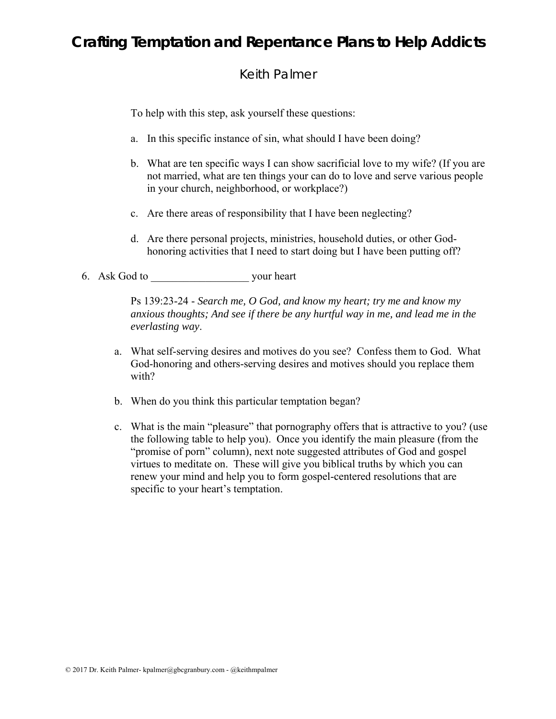## Keith Palmer

To help with this step, ask yourself these questions:

- a. In this specific instance of sin, what should I have been doing?
- b. What are ten specific ways I can show sacrificial love to my wife? (If you are not married, what are ten things your can do to love and serve various people in your church, neighborhood, or workplace?)
- c. Are there areas of responsibility that I have been neglecting?
- d. Are there personal projects, ministries, household duties, or other Godhonoring activities that I need to start doing but I have been putting off?
- 6. Ask God to your heart

Ps 139:23-24 - *Search me, O God, and know my heart; try me and know my anxious thoughts; And see if there be any hurtful way in me, and lead me in the everlasting way*.

- a. What self-serving desires and motives do you see? Confess them to God. What God-honoring and others-serving desires and motives should you replace them with?
- b. When do you think this particular temptation began?
- c. What is the main "pleasure" that pornography offers that is attractive to you? (use the following table to help you). Once you identify the main pleasure (from the "promise of porn" column), next note suggested attributes of God and gospel virtues to meditate on. These will give you biblical truths by which you can renew your mind and help you to form gospel-centered resolutions that are specific to your heart's temptation.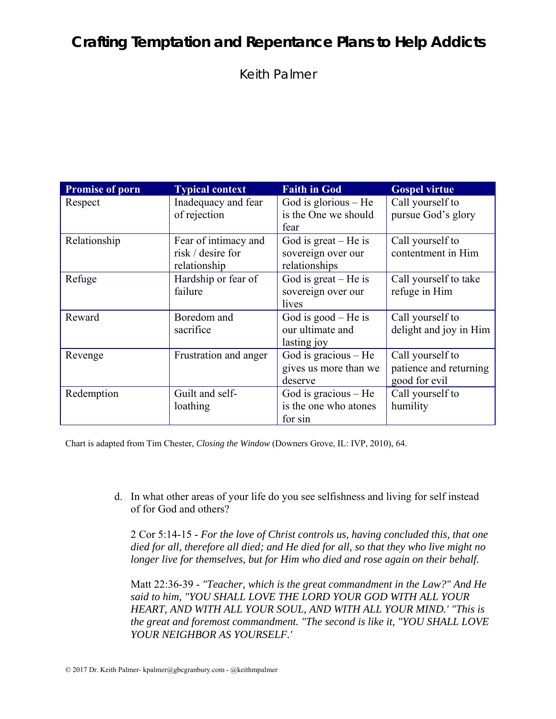Keith Palmer

| <b>Promise of porn</b> | <b>Typical context</b> | <b>Faith in God</b>    | <b>Gospel virtue</b>   |
|------------------------|------------------------|------------------------|------------------------|
| Respect                | Inadequacy and fear    | God is glorious $-$ He | Call yourself to       |
|                        | of rejection           | is the One we should   | pursue God's glory     |
|                        |                        | fear                   |                        |
| Relationship           | Fear of intimacy and   | God is $great - He$ is | Call yourself to       |
|                        | risk / desire for      | sovereign over our     | contentment in Him     |
|                        | relationship           | relationships          |                        |
| Refuge                 | Hardship or fear of    | God is great $-$ He is | Call yourself to take  |
|                        | failure                | sovereign over our     | refuge in Him          |
|                        |                        | lives                  |                        |
| Reward                 | Boredom and            | God is $good$ – He is  | Call yourself to       |
|                        | sacrifice              | our ultimate and       | delight and joy in Him |
|                        |                        | lasting joy            |                        |
| Revenge                | Frustration and anger  | God is gracious $-$ He | Call yourself to       |
|                        |                        | gives us more than we  | patience and returning |
|                        |                        | deserve                | good for evil          |
| Redemption             | Guilt and self-        | God is gracious $-$ He | Call yourself to       |
|                        | loathing               | is the one who atones  | humility               |
|                        |                        | for sin                |                        |

Chart is adapted from Tim Chester, *Closing the Window* (Downers Grove, IL: IVP, 2010), 64.

d. In what other areas of your life do you see selfishness and living for self instead of for God and others?

2 Cor 5:14-15 - *For the love of Christ controls us, having concluded this, that one died for all, therefore all died; and He died for all, so that they who live might no longer live for themselves, but for Him who died and rose again on their behalf.*

Matt 22:36-39 - *"Teacher, which is the great commandment in the Law?" And He said to him, "YOU SHALL LOVE THE LORD YOUR GOD WITH ALL YOUR HEART, AND WITH ALL YOUR SOUL, AND WITH ALL YOUR MIND.' "This is the great and foremost commandment. "The second is like it, "YOU SHALL LOVE YOUR NEIGHBOR AS YOURSELF.'*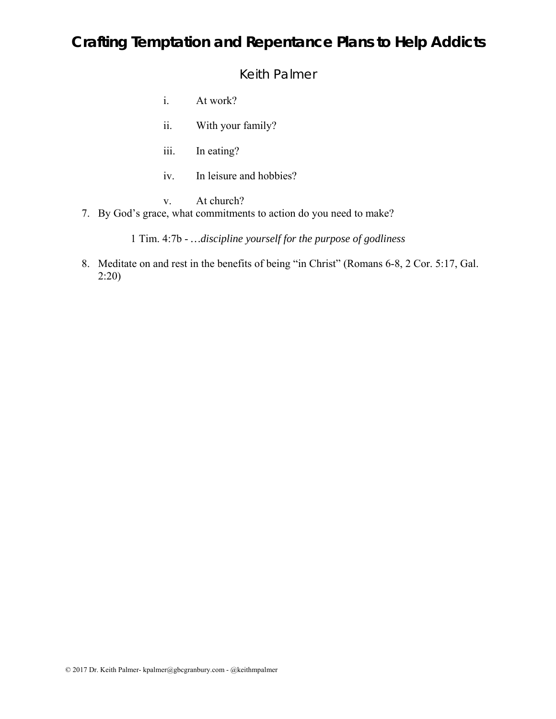Keith Palmer

- i. At work?
- ii. With your family?
- iii. In eating?
- iv. In leisure and hobbies?
- v. At church?
- 7. By God's grace, what commitments to action do you need to make?

1 Tim. 4:7b - *…discipline yourself for the purpose of godliness* 

8. Meditate on and rest in the benefits of being "in Christ" (Romans 6-8, 2 Cor. 5:17, Gal. 2:20)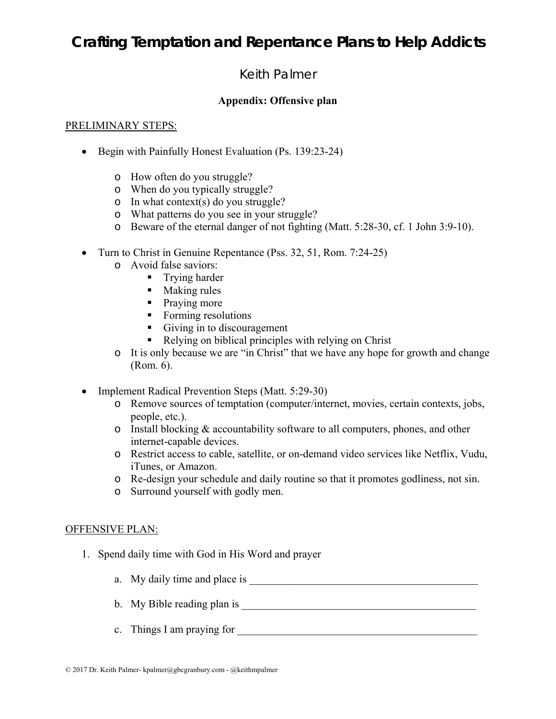## Keith Palmer

#### **Appendix: Offensive plan**

#### PRELIMINARY STEPS:

- Begin with Painfully Honest Evaluation (Ps. 139:23-24)
	- o How often do you struggle?
	- o When do you typically struggle?
	- o In what context(s) do you struggle?
	- o What patterns do you see in your struggle?
	- o Beware of the eternal danger of not fighting (Matt. 5:28-30, cf. 1 John 3:9-10).
- Turn to Christ in Genuine Repentance (Pss. 32, 51, Rom. 7:24-25)
	- o Avoid false saviors:
		- **Trying harder**
		- Making rules
		- Praying more
		- Forming resolutions
		- Giving in to discouragement
		- Relying on biblical principles with relying on Christ
	- o It is only because we are "in Christ" that we have any hope for growth and change (Rom. 6).
- Implement Radical Prevention Steps (Matt. 5:29-30)
	- o Remove sources of temptation (computer/internet, movies, certain contexts, jobs, people, etc.).
	- o Install blocking & accountability software to all computers, phones, and other internet-capable devices.
	- o Restrict access to cable, satellite, or on-demand video services like Netflix, Vudu, iTunes, or Amazon.
	- o Re-design your schedule and daily routine so that it promotes godliness, not sin.
	- o Surround yourself with godly men.

#### OFFENSIVE PLAN:

- 1. Spend daily time with God in His Word and prayer
	- a. My daily time and place is
	- b. My Bible reading plan is \_\_\_\_\_\_\_\_\_\_\_\_\_\_\_\_\_\_\_\_\_\_\_\_\_\_\_\_\_\_\_\_\_\_\_\_\_\_\_\_\_\_\_
	- c. Things I am praying for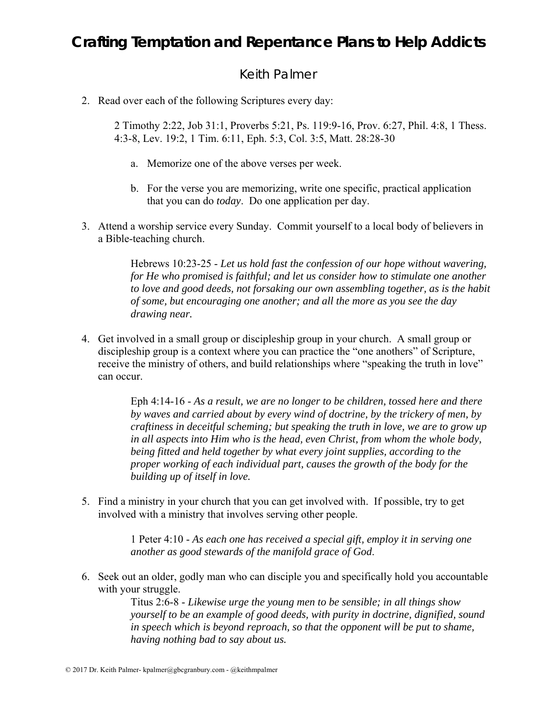### Keith Palmer

2. Read over each of the following Scriptures every day:

2 Timothy 2:22, Job 31:1, Proverbs 5:21, Ps. 119:9-16, Prov. 6:27, Phil. 4:8, 1 Thess. 4:3-8, Lev. 19:2, 1 Tim. 6:11, Eph. 5:3, Col. 3:5, Matt. 28:28-30

- a. Memorize one of the above verses per week.
- b. For the verse you are memorizing, write one specific, practical application that you can do *today*. Do one application per day.
- 3. Attend a worship service every Sunday. Commit yourself to a local body of believers in a Bible-teaching church.

Hebrews 10:23-25 - *Let us hold fast the confession of our hope without wavering, for He who promised is faithful; and let us consider how to stimulate one another to love and good deeds, not forsaking our own assembling together, as is the habit of some, but encouraging one another; and all the more as you see the day drawing near.*

4. Get involved in a small group or discipleship group in your church. A small group or discipleship group is a context where you can practice the "one anothers" of Scripture, receive the ministry of others, and build relationships where "speaking the truth in love" can occur.

> Eph 4:14-16 - *As a result, we are no longer to be children, tossed here and there by waves and carried about by every wind of doctrine, by the trickery of men, by craftiness in deceitful scheming; but speaking the truth in love, we are to grow up in all aspects into Him who is the head, even Christ, from whom the whole body, being fitted and held together by what every joint supplies, according to the proper working of each individual part, causes the growth of the body for the building up of itself in love.*

5. Find a ministry in your church that you can get involved with. If possible, try to get involved with a ministry that involves serving other people.

> 1 Peter 4:10 - *As each one has received a special gift, employ it in serving one another as good stewards of the manifold grace of God*.

6. Seek out an older, godly man who can disciple you and specifically hold you accountable with your struggle.

> Titus 2:6-8 - *Likewise urge the young men to be sensible; in all things show yourself to be an example of good deeds, with purity in doctrine, dignified, sound in speech which is beyond reproach, so that the opponent will be put to shame, having nothing bad to say about us.*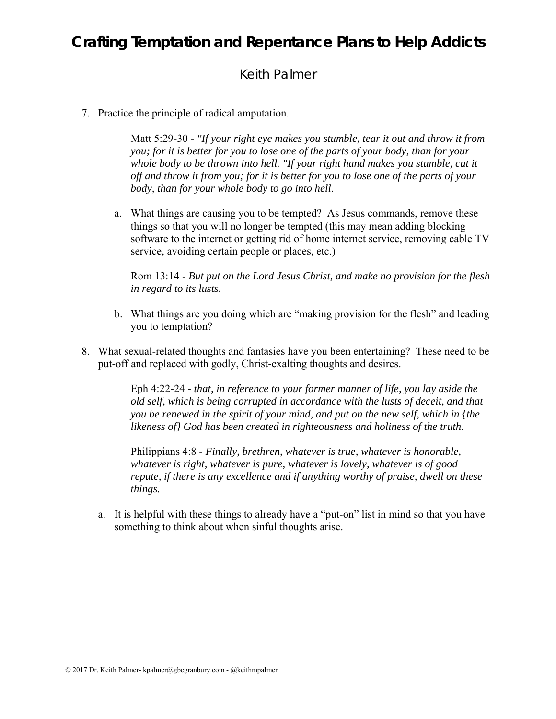## Keith Palmer

7. Practice the principle of radical amputation.

Matt 5:29-30 - *"If your right eye makes you stumble, tear it out and throw it from you; for it is better for you to lose one of the parts of your body, than for your*  whole body to be thrown into hell. "If your right hand makes you stumble, cut it *off and throw it from you; for it is better for you to lose one of the parts of your body, than for your whole body to go into hell*.

a. What things are causing you to be tempted? As Jesus commands, remove these things so that you will no longer be tempted (this may mean adding blocking software to the internet or getting rid of home internet service, removing cable TV service, avoiding certain people or places, etc.)

Rom 13:14 - *But put on the Lord Jesus Christ, and make no provision for the flesh in regard to its lusts.*

- b. What things are you doing which are "making provision for the flesh" and leading you to temptation?
- 8. What sexual-related thoughts and fantasies have you been entertaining? These need to be put-off and replaced with godly, Christ-exalting thoughts and desires.

Eph 4:22-24 - *that, in reference to your former manner of life, you lay aside the old self, which is being corrupted in accordance with the lusts of deceit, and that you be renewed in the spirit of your mind, and put on the new self, which in {the likeness of} God has been created in righteousness and holiness of the truth.*

Philippians 4:8 - *Finally, brethren, whatever is true, whatever is honorable, whatever is right, whatever is pure, whatever is lovely, whatever is of good repute, if there is any excellence and if anything worthy of praise, dwell on these things.*

a. It is helpful with these things to already have a "put-on" list in mind so that you have something to think about when sinful thoughts arise.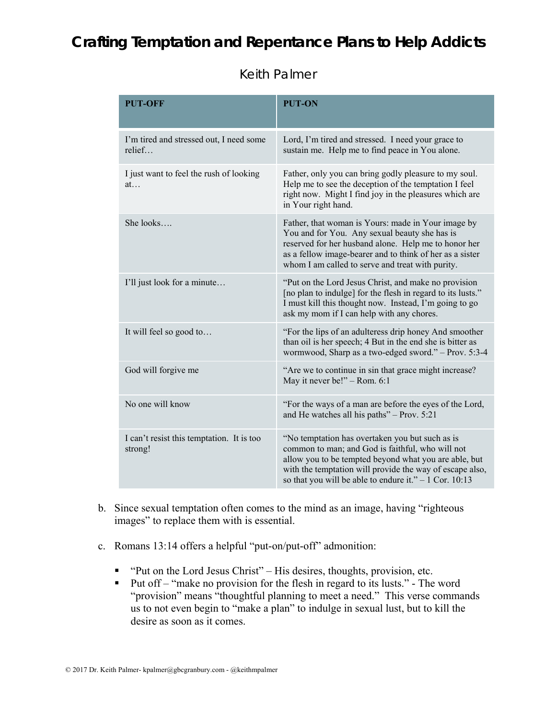## Keith Palmer

| <b>PUT-OFF</b>                                       | PUT-ON                                                                                                                                                                                                                                                                              |  |
|------------------------------------------------------|-------------------------------------------------------------------------------------------------------------------------------------------------------------------------------------------------------------------------------------------------------------------------------------|--|
| I'm tired and stressed out, I need some<br>relief    | Lord, I'm tired and stressed. I need your grace to<br>sustain me. Help me to find peace in You alone.                                                                                                                                                                               |  |
| I just want to feel the rush of looking<br>at        | Father, only you can bring godly pleasure to my soul.<br>Help me to see the deception of the temptation I feel<br>right now. Might I find joy in the pleasures which are<br>in Your right hand.                                                                                     |  |
| She looks                                            | Father, that woman is Yours: made in Your image by<br>You and for You. Any sexual beauty she has is<br>reserved for her husband alone. Help me to honor her<br>as a fellow image-bearer and to think of her as a sister<br>whom I am called to serve and treat with purity.         |  |
| I'll just look for a minute                          | "Put on the Lord Jesus Christ, and make no provision<br>[no plan to indulge] for the flesh in regard to its lusts."<br>I must kill this thought now. Instead, I'm going to go<br>ask my mom if I can help with any chores.                                                          |  |
| It will feel so good to                              | "For the lips of an adulteress drip honey And smoother<br>than oil is her speech; 4 But in the end she is bitter as<br>wormwood, Sharp as a two-edged sword." - Prov. 5:3-4                                                                                                         |  |
| God will forgive me                                  | "Are we to continue in sin that grace might increase?<br>May it never be!" - Rom. 6:1                                                                                                                                                                                               |  |
| No one will know                                     | "For the ways of a man are before the eyes of the Lord,<br>and He watches all his paths" - Prov. 5:21                                                                                                                                                                               |  |
| I can't resist this temptation. It is too<br>strong! | "No temptation has overtaken you but such as is<br>common to man; and God is faithful, who will not<br>allow you to be tempted beyond what you are able, but<br>with the temptation will provide the way of escape also,<br>so that you will be able to endure it." $-1$ Cor. 10:13 |  |

- b. Since sexual temptation often comes to the mind as an image, having "righteous images" to replace them with is essential.
- c. Romans 13:14 offers a helpful "put-on/put-off" admonition:
	- "Put on the Lord Jesus Christ" His desires, thoughts, provision, etc.
	- Put of  $f$  "make no provision for the flesh in regard to its lusts." The word "provision" means "thoughtful planning to meet a need." This verse commands us to not even begin to "make a plan" to indulge in sexual lust, but to kill the desire as soon as it comes.